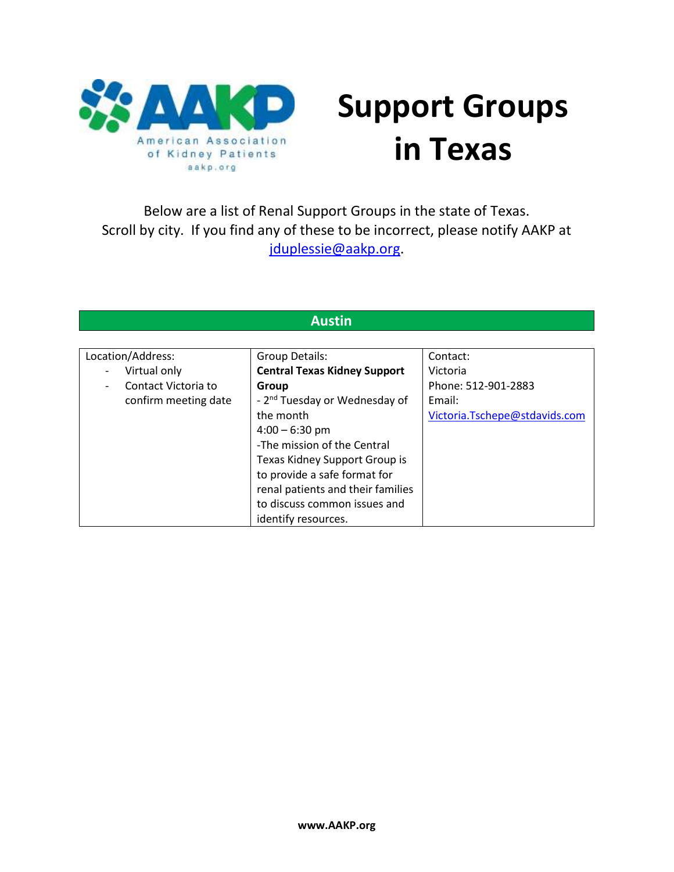

# **Support Groups in Texas**

Below are a list of Renal Support Groups in the state of Texas. Scroll by city. If you find any of these to be incorrect, please notify AAKP at [jduplessie@aakp.org.](mailto:jduplessie@aakp.org)

#### **Austin**

| Location/Address:                 | Group Details:                            | Contact:                      |
|-----------------------------------|-------------------------------------------|-------------------------------|
| Virtual only<br>$\qquad \qquad -$ | <b>Central Texas Kidney Support</b>       | Victoria                      |
| Contact Victoria to               | Group                                     | Phone: 512-901-2883           |
| confirm meeting date              | - 2 <sup>nd</sup> Tuesday or Wednesday of | Email:                        |
|                                   | the month                                 | Victoria.Tschepe@stdavids.com |
|                                   | $4:00 - 6:30$ pm                          |                               |
|                                   | -The mission of the Central               |                               |
|                                   | Texas Kidney Support Group is             |                               |
|                                   | to provide a safe format for              |                               |
|                                   | renal patients and their families         |                               |
|                                   | to discuss common issues and              |                               |
|                                   | identify resources.                       |                               |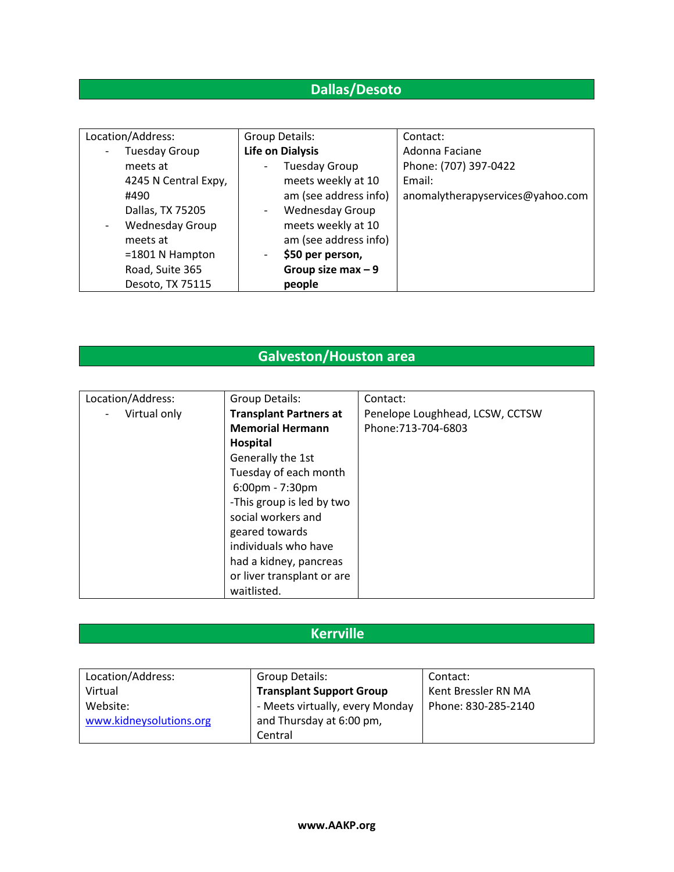# **Dallas/Desoto**

| Location/Address:      | Group Details:          | Contact:                         |
|------------------------|-------------------------|----------------------------------|
| <b>Tuesday Group</b>   | <b>Life on Dialysis</b> | Adonna Faciane                   |
| meets at               | <b>Tuesday Group</b>    | Phone: (707) 397-0422            |
| 4245 N Central Expy,   | meets weekly at 10      | Email:                           |
| #490                   | am (see address info)   | anomalytherapyservices@yahoo.com |
| Dallas, TX 75205       | <b>Wednesday Group</b>  |                                  |
| <b>Wednesday Group</b> | meets weekly at 10      |                                  |
| meets at               | am (see address info)   |                                  |
| $=1801$ N Hampton      | \$50 per person,        |                                  |
| Road, Suite 365        | Group size max $-9$     |                                  |
| Desoto, TX 75115       | people                  |                                  |

## **Galveston/Houston area**

| Location/Address: | Group Details:                | Contact:                        |
|-------------------|-------------------------------|---------------------------------|
| Virtual only      | <b>Transplant Partners at</b> | Penelope Loughhead, LCSW, CCTSW |
|                   | <b>Memorial Hermann</b>       | Phone: 713-704-6803             |
|                   | Hospital                      |                                 |
|                   | Generally the 1st             |                                 |
|                   | Tuesday of each month         |                                 |
|                   | 6:00pm - 7:30pm               |                                 |
|                   | -This group is led by two     |                                 |
|                   | social workers and            |                                 |
|                   | geared towards                |                                 |
|                   | individuals who have          |                                 |
|                   | had a kidney, pancreas        |                                 |
|                   | or liver transplant or are    |                                 |
|                   | waitlisted.                   |                                 |

# **Kerrville**

| Location/Address:       | Group Details:                  | Contact:            |
|-------------------------|---------------------------------|---------------------|
| Virtual                 | <b>Transplant Support Group</b> | Kent Bressler RN MA |
| Website:                | - Meets virtually, every Monday | Phone: 830-285-2140 |
| www.kidneysolutions.org | and Thursday at 6:00 pm,        |                     |
|                         | Central                         |                     |